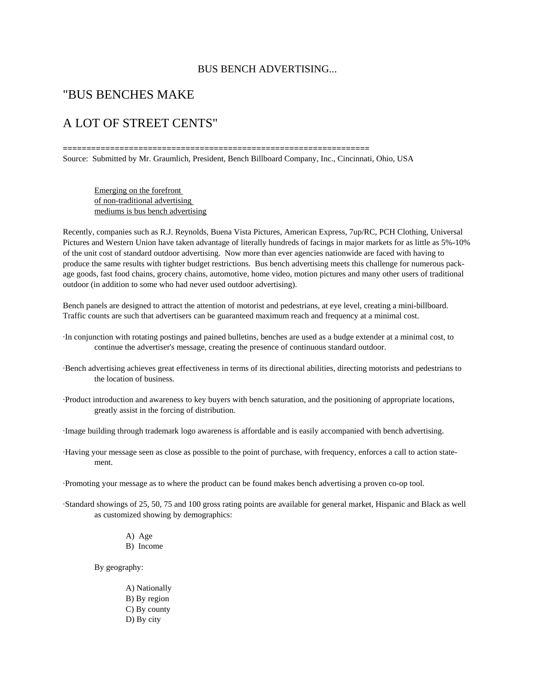#### BUS BENCH ADVERTISING...

#### "BUS BENCHES MAKE

#### A LOT OF STREET CENTS"

Source: Submitted by Mr. Graumlich, President, Bench Billboard Company, Inc., Cincinnati, Ohio, USA

**=================================================================**

 Emerging on the forefront of non-traditional advertising mediums is bus bench advertising

Recently, companies such as R.J. Reynolds, Buena Vista Pictures, American Express, 7up/RC, PCH Clothing, Universal Pictures and Western Union have taken advantage of literally hundreds of facings in major markets for as little as 5%-10% of the unit cost of standard outdoor advertising. Now more than ever agencies nationwide are faced with having to produce the same results with tighter budget restrictions. Bus bench advertising meets this challenge for numerous package goods, fast food chains, grocery chains, automotive, home video, motion pictures and many other users of traditional outdoor (in addition to some who had never used outdoor advertising).

Bench panels are designed to attract the attention of motorist and pedestrians, at eye level, creating a mini-billboard. Traffic counts are such that advertisers can be guaranteed maximum reach and frequency at a minimal cost.

- ·In conjunction with rotating postings and pained bulletins, benches are used as a budge extender at a minimal cost, to continue the advertiser's message, creating the presence of continuous standard outdoor.
- ·Bench advertising achieves great effectiveness in terms of its directional abilities, directing motorists and pedestrians to the location of business.
- ·Product introduction and awareness to key buyers with bench saturation, and the positioning of appropriate locations, greatly assist in the forcing of distribution.

·Image building through trademark logo awareness is affordable and is easily accompanied with bench advertising.

- ·Having your message seen as close as possible to the point of purchase, with frequency, enforces a call to action statement.
- ·Promoting your message as to where the product can be found makes bench advertising a proven co-op tool.
- ·Standard showings of 25, 50, 75 and 100 gross rating points are available for general market, Hispanic and Black as well as customized showing by demographics:

 A) Age B) Income

By geography:

 A) Nationally B) By region C) By county D) By city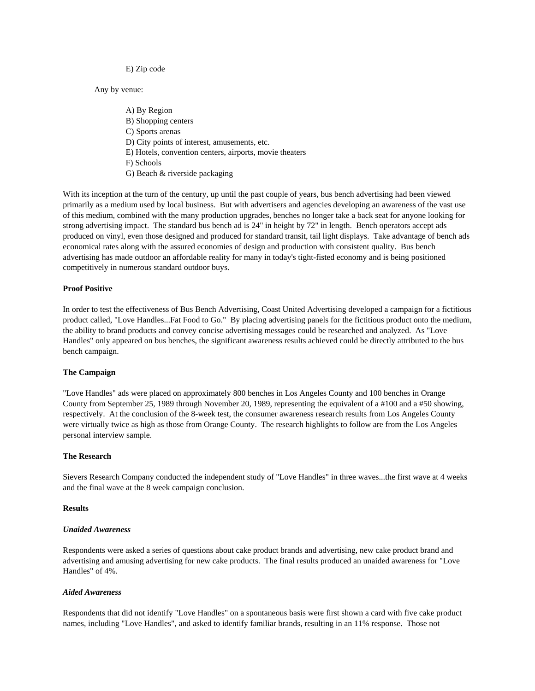#### E) Zip code

Any by venue:

 A) By Region B) Shopping centers C) Sports arenas D) City points of interest, amusements, etc. E) Hotels, convention centers, airports, movie theaters F) Schools G) Beach & riverside packaging

With its inception at the turn of the century, up until the past couple of years, bus bench advertising had been viewed primarily as a medium used by local business. But with advertisers and agencies developing an awareness of the vast use of this medium, combined with the many production upgrades, benches no longer take a back seat for anyone looking for strong advertising impact. The standard bus bench ad is 24" in height by 72" in length. Bench operators accept ads produced on vinyl, even those designed and produced for standard transit, tail light displays. Take advantage of bench ads economical rates along with the assured economies of design and production with consistent quality. Bus bench advertising has made outdoor an affordable reality for many in today's tight-fisted economy and is being positioned competitively in numerous standard outdoor buys.

#### **Proof Positive**

In order to test the effectiveness of Bus Bench Advertising, Coast United Advertising developed a campaign for a fictitious product called, "Love Handles...Fat Food to Go." By placing advertising panels for the fictitious product onto the medium, the ability to brand products and convey concise advertising messages could be researched and analyzed. As "Love Handles" only appeared on bus benches, the significant awareness results achieved could be directly attributed to the bus bench campaign.

#### **The Campaign**

"Love Handles" ads were placed on approximately 800 benches in Los Angeles County and 100 benches in Orange County from September 25, 1989 through November 20, 1989, representing the equivalent of a #100 and a #50 showing, respectively. At the conclusion of the 8-week test, the consumer awareness research results from Los Angeles County were virtually twice as high as those from Orange County. The research highlights to follow are from the Los Angeles personal interview sample.

#### **The Research**

Sievers Research Company conducted the independent study of "Love Handles" in three waves...the first wave at 4 weeks and the final wave at the 8 week campaign conclusion.

#### **Results**

#### *Unaided Awareness*

Respondents were asked a series of questions about cake product brands and advertising, new cake product brand and advertising and amusing advertising for new cake products. The final results produced an unaided awareness for "Love Handles" of 4%.

#### *Aided Awareness*

Respondents that did not identify "Love Handles" on a spontaneous basis were first shown a card with five cake product names, including "Love Handles", and asked to identify familiar brands, resulting in an 11% response. Those not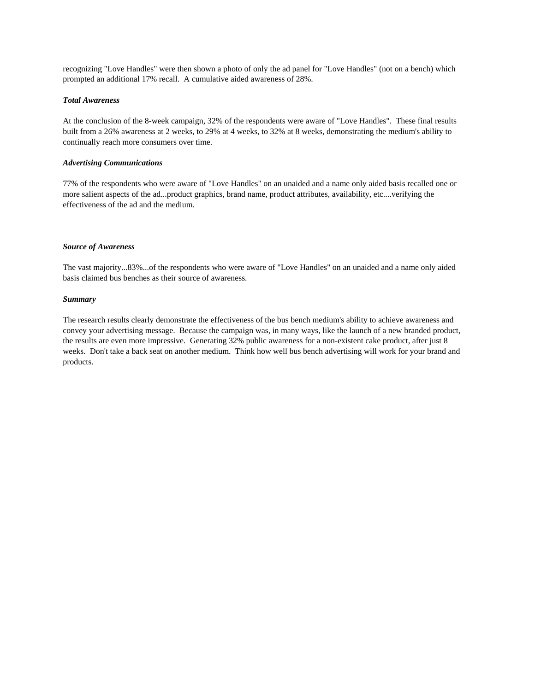recognizing "Love Handles" were then shown a photo of only the ad panel for "Love Handles" (not on a bench) which prompted an additional 17% recall. A cumulative aided awareness of 28%.

#### *Total Awareness*

At the conclusion of the 8-week campaign, 32% of the respondents were aware of "Love Handles". These final results built from a 26% awareness at 2 weeks, to 29% at 4 weeks, to 32% at 8 weeks, demonstrating the medium's ability to continually reach more consumers over time.

#### *Advertising Communications*

77% of the respondents who were aware of "Love Handles" on an unaided and a name only aided basis recalled one or more salient aspects of the ad...product graphics, brand name, product attributes, availability, etc....verifying the effectiveness of the ad and the medium.

#### *Source of Awareness*

The vast majority...83%...of the respondents who were aware of "Love Handles" on an unaided and a name only aided basis claimed bus benches as their source of awareness.

#### *Summary*

The research results clearly demonstrate the effectiveness of the bus bench medium's ability to achieve awareness and convey your advertising message. Because the campaign was, in many ways, like the launch of a new branded product, the results are even more impressive. Generating 32% public awareness for a non-existent cake product, after just 8 weeks. Don't take a back seat on another medium. Think how well bus bench advertising will work for your brand and products.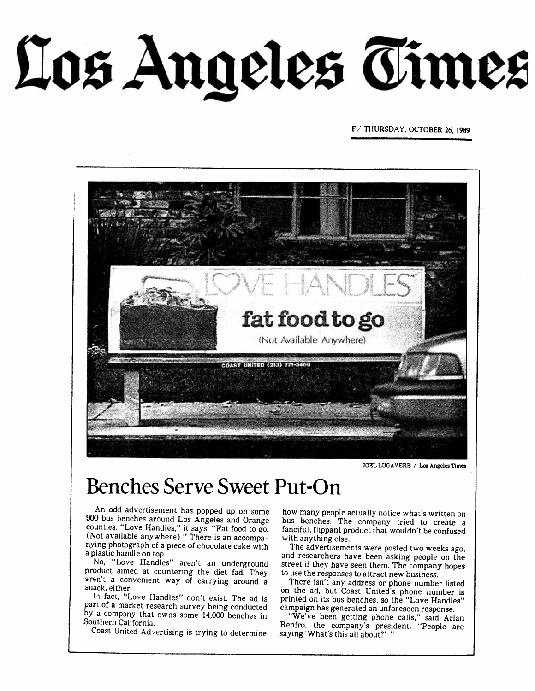Los Angeles Times

F/ THURSDAY, OCTOBER 26, 1989



JOEL LUGAVERE / Los Angeles Times

## **Benches Serve Sweet Put-On**

An odd advertisement has popped up on some 900 bus benches around Los Angeles and Orange counties. "Love Handles," it says. "Fat food to go. (Not available anywhere)." There is an accompanying photograph of a piece of chocolate cake with a plastic handle on top.

No, "Love Handles" aren't an underground product aimed at countering the diet fad. They wren't a convenient way of carrying around a snack, either.

In fact, "Love Handles" don't exist. The ad is part of a market research survey being conducted by a company that owns some 14,000 benches in Southern California.

Coast United Advertising is trying to determine

how many people actually notice what's written on bus benches. The company tried to create a fanciful, flippant product that wouldn't be confused with anything else.

The advertisements were posted two weeks ago, and researchers have been asking people on the street if they have seen them. The company hopes to use the responses to attract new business.

There isn't any address or phone number listed on the ad, but Coast United's phone number is printed on its bus benches, so the "Love Handles" campaign has generated an unforeseen response.

"We've been getting phone calls," said Arlan<br>Renfro, the company's president. "People are saying 'What's this all about?' "